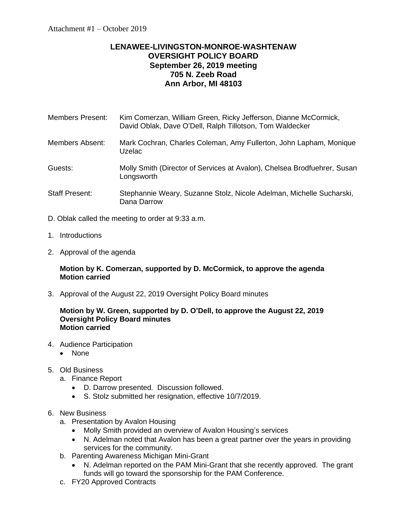# **LENAWEE-LIVINGSTON-MONROE-WASHTENAW OVERSIGHT POLICY BOARD September 26, 2019 meeting 705 N. Zeeb Road Ann Arbor, MI 48103**

| Members Present: | Kim Comerzan, William Green, Ricky Jefferson, Dianne McCormick, |
|------------------|-----------------------------------------------------------------|
|                  | David Oblak, Dave O'Dell, Ralph Tillotson, Tom Waldecker        |

- Members Absent: Mark Cochran, Charles Coleman, Amy Fullerton, John Lapham, Monique Uzelac
- Guests: Molly Smith (Director of Services at Avalon), Chelsea Brodfuehrer, Susan **Longsworth**
- Staff Present: Stephannie Weary, Suzanne Stolz, Nicole Adelman, Michelle Sucharski, Dana Darrow
- D. Oblak called the meeting to order at 9:33 a.m.
- 1. Introductions
- 2. Approval of the agenda

### **Motion by K. Comerzan, supported by D. McCormick, to approve the agenda Motion carried**

3. Approval of the August 22, 2019 Oversight Policy Board minutes

#### **Motion by W. Green, supported by D. O'Dell, to approve the August 22, 2019 Oversight Policy Board minutes Motion carried**

- 4. Audience Participation
	- None
- 5. Old Business
	- a. Finance Report
		- D. Darrow presented. Discussion followed.
		- S. Stolz submitted her resignation, effective 10/7/2019.

### 6. New Business

- a. Presentation by Avalon Housing
	- Molly Smith provided an overview of Avalon Housing's services
	- N. Adelman noted that Avalon has been a great partner over the years in providing services for the community.
- b. Parenting Awareness Michigan Mini-Grant
	- N. Adelman reported on the PAM Mini-Grant that she recently approved. The grant funds will go toward the sponsorship for the PAM Conference.
- c. FY20 Approved Contracts